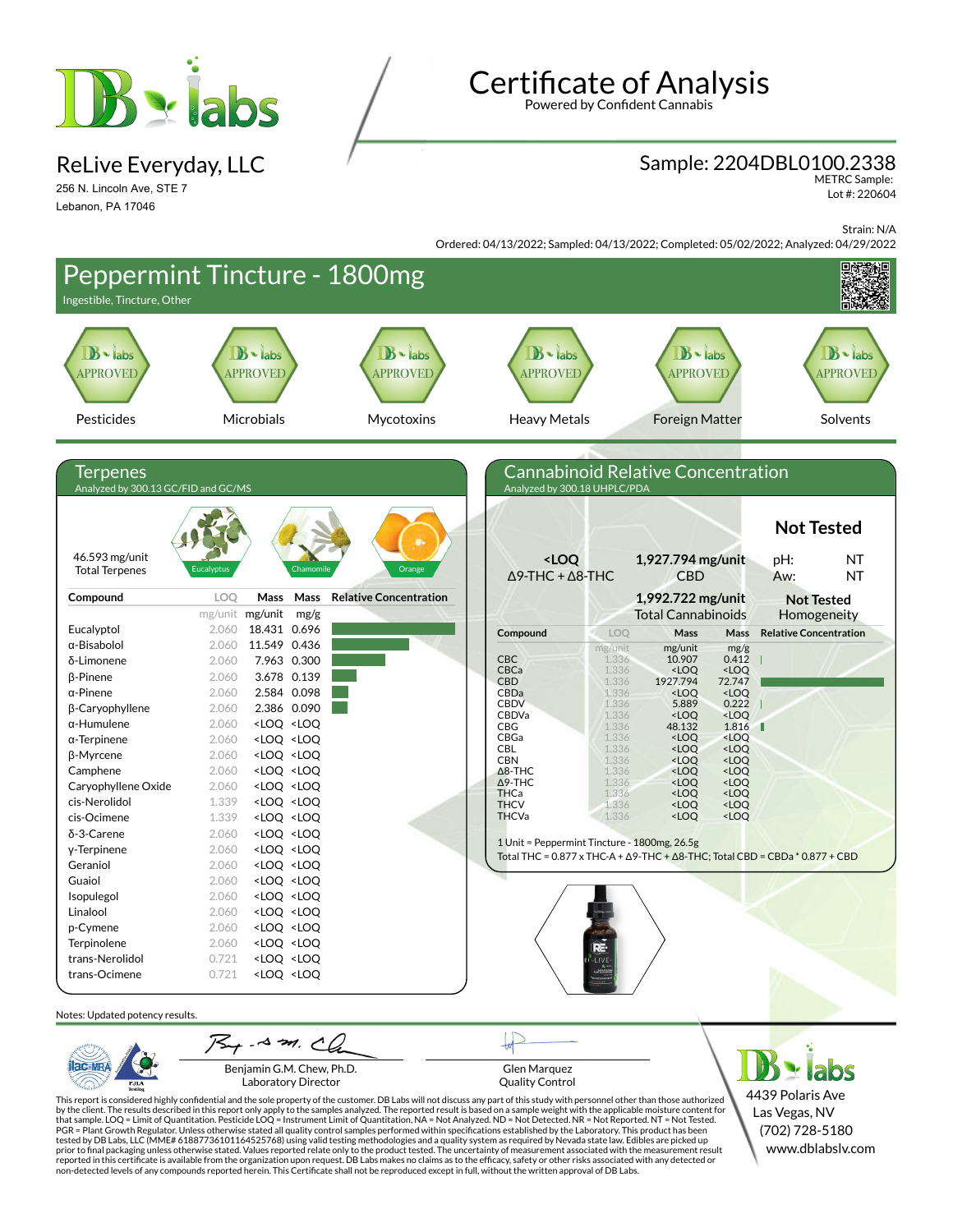

ReLive Everyday, LLC

256 N. Lincoln Ave, STE 7 Lebanon, PA 17046

# **Certificate of Analysis**

Powered by Confident Cannabis

### Sample: 2204DBL0100.2338

METRC Sample: Lot #: 220604

Strain: N/A

Ordered: 04/13/2022; Sampled: 04/13/2022; Completed: 05/02/2022; Analyzed: 04/29/2022

| Ingestible, Tincture, Other                     | Peppermint Tincture - 1800mg                                                                                                                                                                               |                                   |                                                                      |                                                                                                      |                                       |
|-------------------------------------------------|------------------------------------------------------------------------------------------------------------------------------------------------------------------------------------------------------------|-----------------------------------|----------------------------------------------------------------------|------------------------------------------------------------------------------------------------------|---------------------------------------|
| $\mathbf{B}$ - labs<br>APPROVED                 | $B \cdot$ labs<br><b>APPROVED</b>                                                                                                                                                                          | $B \cdot$ labs<br><b>APPROVED</b> | $B \cdot$ labs<br><b>APPROVED</b>                                    | $B \cdot$ labs<br><b>APPROVED</b>                                                                    | $B \cdot$ labs<br><b>APPROVED</b>     |
| Pesticides                                      | Microbials                                                                                                                                                                                                 | Mycotoxins                        | <b>Heavy Metals</b>                                                  | <b>Foreign Matter</b>                                                                                | Solvents                              |
|                                                 |                                                                                                                                                                                                            |                                   |                                                                      |                                                                                                      |                                       |
| Terpenes<br>Analyzed by 300.13 GC/FID and GC/MS |                                                                                                                                                                                                            |                                   | Analyzed by 300.18 UHPLC/PDA                                         | <b>Cannabinoid Relative Concentration</b>                                                            |                                       |
|                                                 |                                                                                                                                                                                                            |                                   |                                                                      |                                                                                                      | <b>Not Tested</b>                     |
| 46.593 mg/unit<br><b>Total Terpenes</b>         | <b>Eucalyptus</b><br>Chamomile                                                                                                                                                                             | Orange                            | <loq<br><math>\Delta</math>9-THC + <math>\Delta</math>8-THC</loq<br> | 1,927.794 mg/unit<br>CBD                                                                             | pH:<br>NT<br><b>NT</b><br>Aw:         |
| Compound                                        | Mass<br>LOQ<br>Mass                                                                                                                                                                                        | <b>Relative Concentration</b>     |                                                                      | 1,992.722 mg/unit                                                                                    | <b>Not Tested</b>                     |
|                                                 | mg/unit mg/unit<br>mg/g                                                                                                                                                                                    |                                   |                                                                      | <b>Total Cannabinoids</b>                                                                            | Homogeneity                           |
| Eucalyptol                                      | 18.431 0.696<br>2.060                                                                                                                                                                                      |                                   | Compound                                                             | LOQ<br>Mass                                                                                          | <b>Relative Concentration</b><br>Mass |
| α-Bisabolol                                     | 11.549 0.436<br>2.060                                                                                                                                                                                      |                                   |                                                                      | mg/unit<br>mg/unit                                                                                   | mg/g                                  |
| δ-Limonene                                      | 7.963 0.300<br>2.060                                                                                                                                                                                       |                                   | <b>CBC</b><br>CBCa                                                   | 1.336<br>10.907<br>1.336<br><loq< td=""><td>0.412<br/><loq< td=""></loq<></td></loq<>                | 0.412<br><loq< td=""></loq<>          |
| β-Pinene                                        | 3.678 0.139<br>2.060                                                                                                                                                                                       |                                   | <b>CBD</b>                                                           | 1.336<br>1927.794                                                                                    | 72.747                                |
| $\alpha$ -Pinene                                | 2.584 0.098<br>2.060<br>2.386 0.090                                                                                                                                                                        |                                   | CBDa<br><b>CBDV</b>                                                  | 1.336<br><loq<br>1.336<br/>5.889</loq<br>                                                            | <loq<br>0.222</loq<br>                |
| β-Caryophyllene<br>$\alpha$ -Humulene           | 2.060<br>2.060                                                                                                                                                                                             |                                   | <b>CBDVa</b>                                                         | 1.336<br><loq< td=""><td><math>&lt;</math>LOQ</td></loq<>                                            | $<$ LOQ                               |
| $\alpha$ -Terpinene                             | <loq <loq<br="">2.060<br/><loq <loq<="" td=""><td></td><td><b>CBG</b><br/>CBGa</td><td>1.336<br/>48.132<br/>1.336<br/><loq< td=""><td>1.816<br/><loq< td=""></loq<></td></loq<></td></loq></loq>           |                                   | <b>CBG</b><br>CBGa                                                   | 1.336<br>48.132<br>1.336<br><loq< td=""><td>1.816<br/><loq< td=""></loq<></td></loq<>                | 1.816<br><loq< td=""></loq<>          |
| β-Myrcene                                       | 2.060<br><loq <loq<="" td=""><td></td><td>CBL</td><td>1.336<br/><loq< td=""><td><loq< td=""></loq<></td></loq<></td></loq>                                                                                 |                                   | CBL                                                                  | 1.336<br><loq< td=""><td><loq< td=""></loq<></td></loq<>                                             | <loq< td=""></loq<>                   |
| Camphene                                        | 2.060<br><loq <loq<="" td=""><td></td><td><b>CBN</b><br/><math>\Delta</math>8-THC</td><td>1.336<br/><loq<br>1.336<br/><loq< td=""><td><loq<br><loq< td=""></loq<></loq<br></td></loq<></loq<br></td></loq> |                                   | <b>CBN</b><br>$\Delta$ 8-THC                                         | 1.336<br><loq<br>1.336<br/><loq< td=""><td><loq<br><loq< td=""></loq<></loq<br></td></loq<></loq<br> | <loq<br><loq< td=""></loq<></loq<br>  |
| Caryophyllene Oxide                             | 2.060<br><loq <loq<="" td=""><td></td><td><math>\Delta</math>9-THC</td><td>1.336<br/><loq< td=""><td><loq< td=""></loq<></td></loq<></td></loq>                                                            |                                   | $\Delta$ 9-THC                                                       | 1.336<br><loq< td=""><td><loq< td=""></loq<></td></loq<>                                             | <loq< td=""></loq<>                   |
| cis-Nerolidol                                   | 1.339<br><loq <loq<="" td=""><td></td><td>THCa<br/><b>THCV</b></td><td>1.336<br/><loq<br>1.336<br/><loq< td=""><td><loq<br><loq< td=""></loq<></loq<br></td></loq<></loq<br></td></loq>                    |                                   | THCa<br><b>THCV</b>                                                  | 1.336<br><loq<br>1.336<br/><loq< td=""><td><loq<br><loq< td=""></loq<></loq<br></td></loq<></loq<br> | <loq<br><loq< td=""></loq<></loq<br>  |
| cis-Ocimene                                     | 1.339<br><loq <loq<="" td=""><td></td><td><b>THCVa</b></td><td>1.336<br/><loq< td=""><td><loq< td=""></loq<></td></loq<></td></loq>                                                                        |                                   | <b>THCVa</b>                                                         | 1.336<br><loq< td=""><td><loq< td=""></loq<></td></loq<>                                             | <loq< td=""></loq<>                   |
| δ-3-Carene                                      | 2.060<br><loq <loq<="" td=""><td></td><td></td><td></td><td></td></loq>                                                                                                                                    |                                   |                                                                      |                                                                                                      |                                       |
| y-Terpinene                                     | 2.060<br><loq <loq<="" td=""><td></td><td></td><td>1 Unit = Peppermint Tincture - 1800mg, 26.5g</td><td></td></loq>                                                                                        |                                   |                                                                      | 1 Unit = Peppermint Tincture - 1800mg, 26.5g                                                         |                                       |
| Geraniol                                        | 2.060<br><loq <loq<="" td=""><td></td><td></td><td>Total THC = <math>0.877 \times THC-A + \Delta 9</math>-THC + <math>\Delta 8</math>-THC; Total CBD = CBDa * <math>0.877 + CBD</math></td><td></td></loq> |                                   |                                                                      | Total THC = $0.877 \times THC-A + \Delta 9$ -THC + $\Delta 8$ -THC; Total CBD = CBDa * $0.877 + CBD$ |                                       |
| Guaiol                                          | 2.060<br><loq <loq<="" td=""><td></td><td></td><td></td><td></td></loq>                                                                                                                                    |                                   |                                                                      |                                                                                                      |                                       |
| Isopulegol                                      | 2.060<br><loq <loq<="" td=""><td></td><td></td><td></td><td></td></loq>                                                                                                                                    |                                   |                                                                      |                                                                                                      |                                       |
| Linalool                                        | 2.060<br><loq <loq<="" td=""><td></td><td></td><td></td><td></td></loq>                                                                                                                                    |                                   |                                                                      |                                                                                                      |                                       |
| p-Cymene                                        | 2.060<br><loq <loq<="" td=""><td></td><td></td><td></td><td></td></loq>                                                                                                                                    |                                   |                                                                      |                                                                                                      |                                       |
| Terpinolene                                     | 2.060<br><loq <loq<="" td=""><td></td><td></td><td></td><td></td></loq>                                                                                                                                    |                                   |                                                                      |                                                                                                      |                                       |
| trans-Nerolidol                                 | <loq <loq<br="">0.721</loq>                                                                                                                                                                                |                                   |                                                                      |                                                                                                      |                                       |
| trans-Ocimene                                   | 0.721<br><loq <loq<="" td=""><td></td><td></td><td></td><td></td></loq>                                                                                                                                    |                                   |                                                                      |                                                                                                      |                                       |
| Notes: Updated potency results.                 |                                                                                                                                                                                                            |                                   |                                                                      |                                                                                                      |                                       |
|                                                 | $75 + -8 = 20$                                                                                                                                                                                             |                                   |                                                                      |                                                                                                      |                                       |
| PJLA                                            | Benjamin G.M. Chew, Ph.D.<br>Laboratory Director                                                                                                                                                           |                                   | <b>Glen Marquez</b><br><b>Quality Control</b>                        |                                                                                                      | abs                                   |

Laboratory Director

Quality Control

This report is considered highly confidential and the sole property of the customer. DB Labs will not discuss any part of this study with personnel other than those authorized<br>by the client. The results described in this r